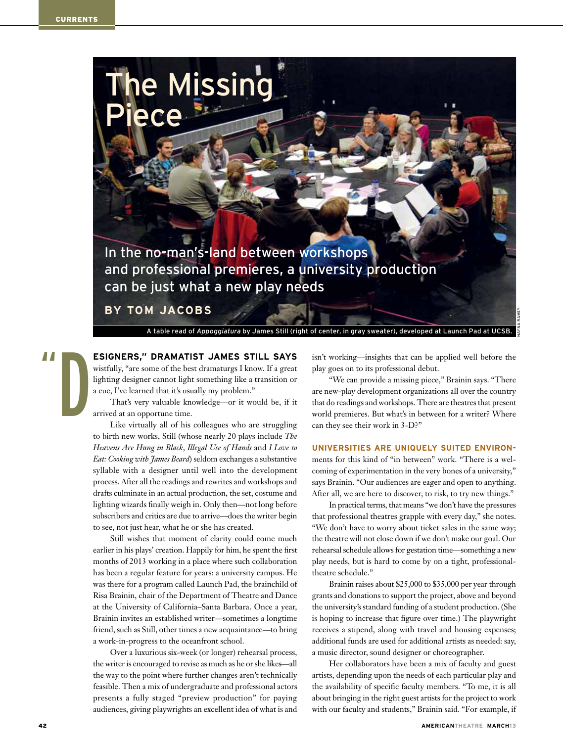

**By Tom Jacobs**

Piece

A table read of *Appoggiatura* by James Still (right of center, in gray sweater), developed at Launch Pad at UCSB.

**esigners," dramatist James Still says** wistfully, "are some of the best dramaturgs I know. If a great " D

lighting designer cannot light something like a transition or a cue, I've learned that it's usually my problem."

e Missing

That's very valuable knowledge—or it would be, if it arrived at an opportune time.

Like virtually all of his colleagues who are struggling to birth new works, Still (whose nearly 20 plays include *The Heavens Are Hung in Black*, *Illegal Use of Hands* and *I Love to Eat: Cooking with James Beard*) seldom exchanges a substantive syllable with a designer until well into the development process. After all the readings and rewrites and workshops and drafts culminate in an actual production, the set, costume and lighting wizards finally weigh in. Only then—not long before subscribers and critics are due to arrive—does the writer begin to see, not just hear, what he or she has created.

Still wishes that moment of clarity could come much earlier in his plays' creation. Happily for him, he spent the first months of 2013 working in a place where such collaboration has been a regular feature for years: a university campus. He was there for a program called Launch Pad, the brainchild of Risa Brainin, chair of the Department of Theatre and Dance at the University of California–Santa Barbara. Once a year, Brainin invites an established writer—sometimes a longtime friend, such as Still, other times a new acquaintance—to bring a work-in-progress to the oceanfront school.

Over a luxurious six-week (or longer) rehearsal process, the writer is encouraged to revise as much as he or she likes—all the way to the point where further changes aren't technically feasible. Then a mix of undergraduate and professional actors presents a fully staged "preview production" for paying audiences, giving playwrights an excellent idea of what is and

isn't working—insights that can be applied well before the play goes on to its professional debut.

"We can provide a missing piece," Brainin says. "There are new-play development organizations all over the country that do readings and workshops. There are theatres that present world premieres. But what's in between for a writer? Where can they see their work in 3-D?"

### **Universities are uniquely suited ENVIRON-**

ments for this kind of "in between" work. "There is a welcoming of experimentation in the very bones of a university," says Brainin. "Our audiences are eager and open to anything. After all, we are here to discover, to risk, to try new things."

In practical terms, that means "we don't have the pressures that professional theatres grapple with every day," she notes. "We don't have to worry about ticket sales in the same way; the theatre will not close down if we don't make our goal. Our rehearsal schedule allows for gestation time—something a new play needs, but is hard to come by on a tight, professionaltheatre schedule."

Brainin raises about \$25,000 to \$35,000 per year through grants and donations to support the project, above and beyond the university's standard funding of a student production. (She is hoping to increase that figure over time.) The playwright receives a stipend, along with travel and housing expenses; additional funds are used for additional artists as needed: say, a music director, sound designer or choreographer.

Her collaborators have been a mix of faculty and guest artists, depending upon the needs of each particular play and the availability of specific faculty members. "To me, it is all about bringing in the right guest artists for the project to work with our faculty and students," Brainin said. "For example, if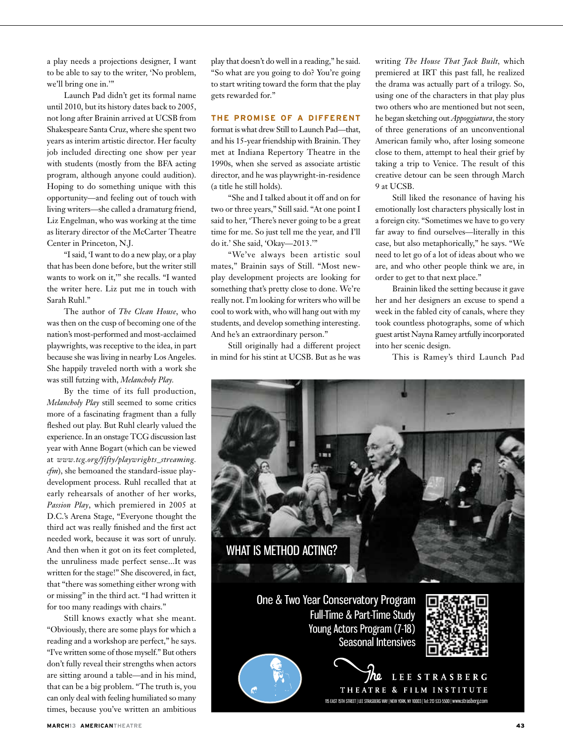a play needs a projections designer, I want to be able to say to the writer, 'No problem, we'll bring one in.'"

Launch Pad didn't get its formal name until 2010, but its history dates back to 2005, not long after Brainin arrived at UCSB from Shakespeare Santa Cruz, where she spent two years as interim artistic director. Her faculty job included directing one show per year with students (mostly from the BFA acting program, although anyone could audition). Hoping to do something unique with this opportunity—and feeling out of touch with living writers—she called a dramaturg friend, Liz Engelman, who was working at the time as literary director of the McCarter Theatre Center in Princeton, N.J.

"I said, 'I want to do a new play, or a play that has been done before, but the writer still wants to work on it,'" she recalls. "I wanted the writer here. Liz put me in touch with Sarah Ruhl."

The author of *The Clean House*, who was then on the cusp of becoming one of the nation's most-performed and most-acclaimed playwrights, was receptive to the idea, in part because she was living in nearby Los Angeles. She happily traveled north with a work she was still futzing with, *Melancholy Play.*

By the time of its full production, *Melancholy Play* still seemed to some critics more of a fascinating fragment than a fully fleshed out play. But Ruhl clearly valued the experience. In an onstage TCG discussion last year with Anne Bogart (which can be viewed at *www.tcg.org/fifty/playwrights\_streaming. cfm*), she bemoaned the standard-issue playdevelopment process. Ruhl recalled that at early rehearsals of another of her works, *Passion Play*, which premiered in 2005 at D.C.'s Arena Stage, "Everyone thought the third act was really finished and the first act needed work, because it was sort of unruly. And then when it got on its feet completed, the unruliness made perfect sense...It was written for the stage!" She discovered, in fact, that "there was something either wrong with or missing" in the third act. "I had written it for too many readings with chairs."

Still knows exactly what she meant. "Obviously, there are some plays for which a reading and a workshop are perfect," he says. "I've written some of those myself." But others don't fully reveal their strengths when actors are sitting around a table—and in his mind, that can be a big problem. "The truth is, you can only deal with feeling humiliated so many times, because you've written an ambitious play that doesn't do well in a reading," he said. "So what are you going to do? You're going to start writing toward the form that the play gets rewarded for."

## **The promise of a different**

format is what drew Still to Launch Pad—that, and his 15-year friendship with Brainin. They met at Indiana Repertory Theatre in the 1990s, when she served as associate artistic director, and he was playwright-in-residence (a title he still holds).

"She and I talked about it off and on for two or three years," Still said. "At one point I said to her, 'There's never going to be a great time for me. So just tell me the year, and I'll do it.' She said, 'Okay—2013.'"

"We've always been artistic soul mates," Brainin says of Still. "Most newplay development projects are looking for something that's pretty close to done. We're really not. I'm looking for writers who will be cool to work with, who will hang out with my students, and develop something interesting. And he's an extraordinary person."

Still originally had a different project in mind for his stint at UCSB. But as he was

writing *The House That Jack Built,* which premiered at IRT this past fall, he realized the drama was actually part of a trilogy. So, using one of the characters in that play plus two others who are mentioned but not seen, he began sketching out *Appoggiatura*, the story of three generations of an unconventional American family who, after losing someone close to them, attempt to heal their grief by taking a trip to Venice. The result of this creative detour can be seen through March 9 at UCSB.

Still liked the resonance of having his emotionally lost characters physically lost in a foreign city. "Sometimes we have to go very far away to find ourselves—literally in this case, but also metaphorically," he says. "We need to let go of a lot of ideas about who we are, and who other people think we are, in order to get to that next place."

Brainin liked the setting because it gave her and her designers an excuse to spend a week in the fabled city of canals, where they took countless photographs, some of which guest artist Nayna Ramey artfully incorporated into her scenic design.

This is Ramey's third Launch Pad



One & Two Year Conservatory Program Full-Time & Part-Time Study Young Actors Program (7-18) Seasonal Intensives





LEE STRASBERG THEATRE & FILM INSTITUTE 115 EAST 15TH STREET | LEE STRASBERG WAY | NEW YORK, NY 10003 | Tel: 212-533-5500 | www.strasberg.com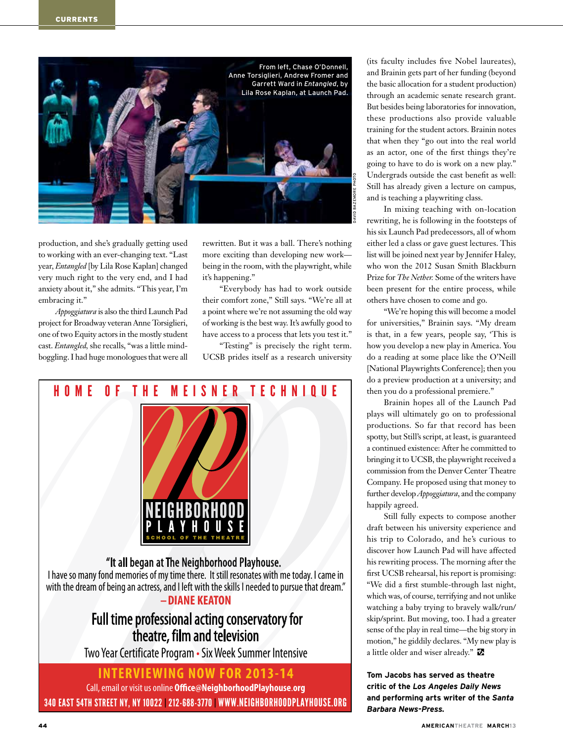

production, and she's gradually getting used to working with an ever-changing text. "Last year, *Entangled* [by Lila Rose Kaplan] changed very much right to the very end, and I had anxiety about it," she admits. "This year, I'm embracing it."

*Appoggiatura* is also the third Launch Pad project for Broadway veteran Anne Torsiglieri, one of two Equity actors in the mostly student cast. *Entangled,* she recalls, "was a little mindboggling. I had huge monologues that were all rewritten. But it was a ball. There's nothing more exciting than developing new work being in the room, with the playwright, while it's happening."

"Everybody has had to work outside their comfort zone," Still says. "We're all at a point where we're not assuming the old way of working is the best way. It's awfully good to have access to a process that lets you test it."

"Testing" is precisely the right term. UCSB prides itself as a research university



340 EAST 54TH STREET NY, NY 10022 | 212-688-3770 | WWW.NEIGHBORHOODPLAYHOUSE.ORG

(its faculty includes five Nobel laureates), and Brainin gets part of her funding (beyond the basic allocation for a student production) through an academic senate research grant. But besides being laboratories for innovation, these productions also provide valuable training for the student actors. Brainin notes that when they "go out into the real world as an actor, one of the first things they're going to have to do is work on a new play." Undergrads outside the cast benefit as well: Still has already given a lecture on campus, and is teaching a playwriting class.

In mixing teaching with on-location rewriting, he is following in the footsteps of his six Launch Pad predecessors, all of whom either led a class or gave guest lectures. This list will be joined next year by Jennifer Haley, who won the 2012 Susan Smith Blackburn Prize for *The Nether.* Some of the writers have been present for the entire process, while others have chosen to come and go.

"We're hoping this will become a model for universities," Brainin says. "My dream is that, in a few years, people say, 'This is how you develop a new play in America. You do a reading at some place like the O'Neill [National Playwrights Conference]; then you do a preview production at a university; and then you do a professional premiere."

Brainin hopes all of the Launch Pad plays will ultimately go on to professional productions. So far that record has been spotty, but Still's script, at least, is guaranteed a continued existence: After he committed to bringing it to UCSB, the playwright received a commission from the Denver Center Theatre Company. He proposed using that money to further develop *Appoggiatura*, and the company happily agreed.

Still fully expects to compose another draft between his university experience and his trip to Colorado, and he's curious to discover how Launch Pad will have affected his rewriting process. The morning after the first UCSB rehearsal, his report is promising: "We did a first stumble-through last night, which was, of course, terrifying and not unlike watching a baby trying to bravely walk/run/ skip/sprint. But moving, too. I had a greater sense of the play in real time—the big story in motion," he giddily declares. "My new play is a little older and wiser already."

**Tom Jacobs has served as theatre critic of the** *Los Angeles Daily News* **and performing arts writer of the** *Santa Barbara News-Press.*